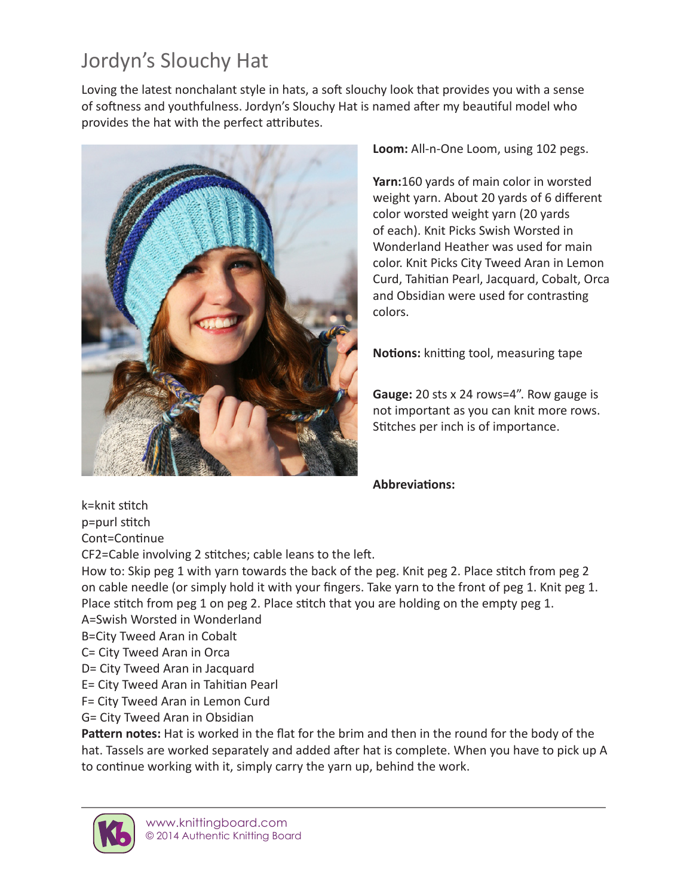## Jordyn's Slouchy Hat

Loving the latest nonchalant style in hats, a soft slouchy look that provides you with a sense of softness and youthfulness. Jordyn's Slouchy Hat is named after my beautiful model who provides the hat with the perfect attributes.



**Loom:** All-n-One Loom, using 102 pegs.

**Yarn:**160 yards of main color in worsted weight yarn. About 20 yards of 6 different color worsted weight yarn (20 yards of each). Knit Picks Swish Worsted in Wonderland Heather was used for main color. Knit Picks City Tweed Aran in Lemon Curd, Tahitian Pearl, Jacquard, Cobalt, Orca and Obsidian were used for contrasting colors.

**Notions:** knitting tool, measuring tape

**Gauge:** 20 sts x 24 rows=4". Row gauge is not important as you can knit more rows. Stitches per inch is of importance.

## **Abbreviations:**

k=knit stitch p=purl stitch

Cont=Continue

CF2=Cable involving 2 stitches; cable leans to the left.

How to: Skip peg 1 with yarn towards the back of the peg. Knit peg 2. Place stitch from peg 2 on cable needle (or simply hold it with your fingers. Take yarn to the front of peg 1. Knit peg 1. Place stitch from peg 1 on peg 2. Place stitch that you are holding on the empty peg 1.

- A=Swish Worsted in Wonderland
- B=City Tweed Aran in Cobalt
- C= City Tweed Aran in Orca
- D= City Tweed Aran in Jacquard
- E= City Tweed Aran in Tahitian Pearl
- F= City Tweed Aran in Lemon Curd
- G= City Tweed Aran in Obsidian

**Pattern notes:** Hat is worked in the flat for the brim and then in the round for the body of the hat. Tassels are worked separately and added after hat is complete. When you have to pick up A to continue working with it, simply carry the yarn up, behind the work.

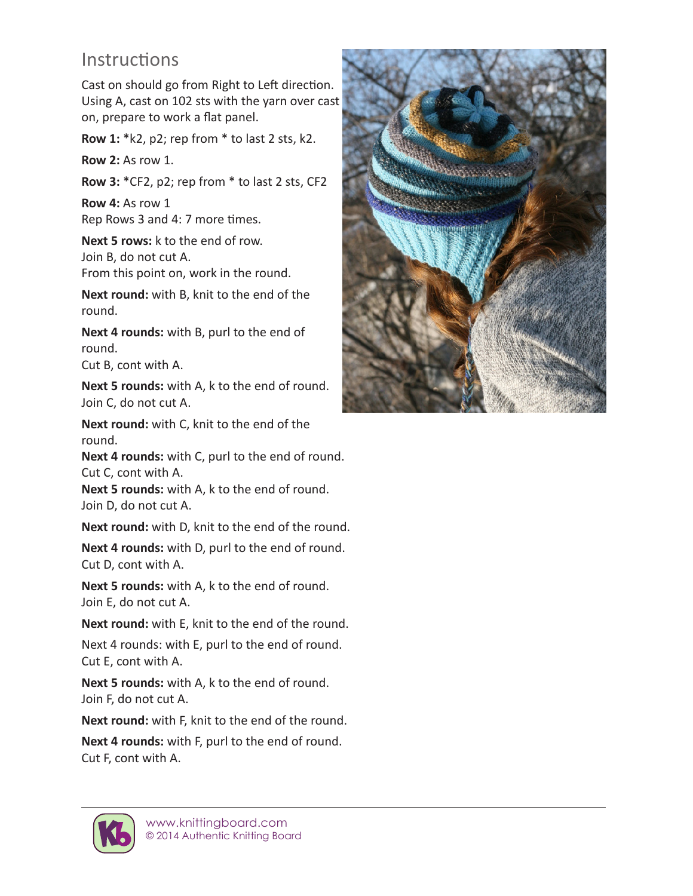## **Instructions**

Cast on should go from Right to Left direction. Using A, cast on 102 sts with the yarn over cast on, prepare to work a flat panel.

**Row 1:** \*k2, p2; rep from \* to last 2 sts, k2.

**Row 2:** As row 1.

**Row 3:** \*CF2, p2; rep from \* to last 2 sts, CF2

**Row 4:** As row 1 Rep Rows 3 and 4: 7 more times.

**Next 5 rows:** k to the end of row. Join B, do not cut A. From this point on, work in the round.

**Next round:** with B, knit to the end of the round.

**Next 4 rounds:** with B, purl to the end of round.

Cut B, cont with A.

**Next 5 rounds:** with A, k to the end of round. Join C, do not cut A.

**Next round:** with C, knit to the end of the round.

**Next 4 rounds:** with C, purl to the end of round. Cut C, cont with A.

**Next 5 rounds:** with A, k to the end of round. Join D, do not cut A.

**Next round:** with D, knit to the end of the round.

**Next 4 rounds:** with D, purl to the end of round. Cut D, cont with A.

**Next 5 rounds:** with A, k to the end of round. Join E, do not cut A.

**Next round:** with E, knit to the end of the round.

Next 4 rounds: with E, purl to the end of round. Cut E, cont with A.

**Next 5 rounds:** with A, k to the end of round. Join F, do not cut A.

**Next round:** with F, knit to the end of the round.

**Next 4 rounds:** with F, purl to the end of round. Cut F, cont with A.